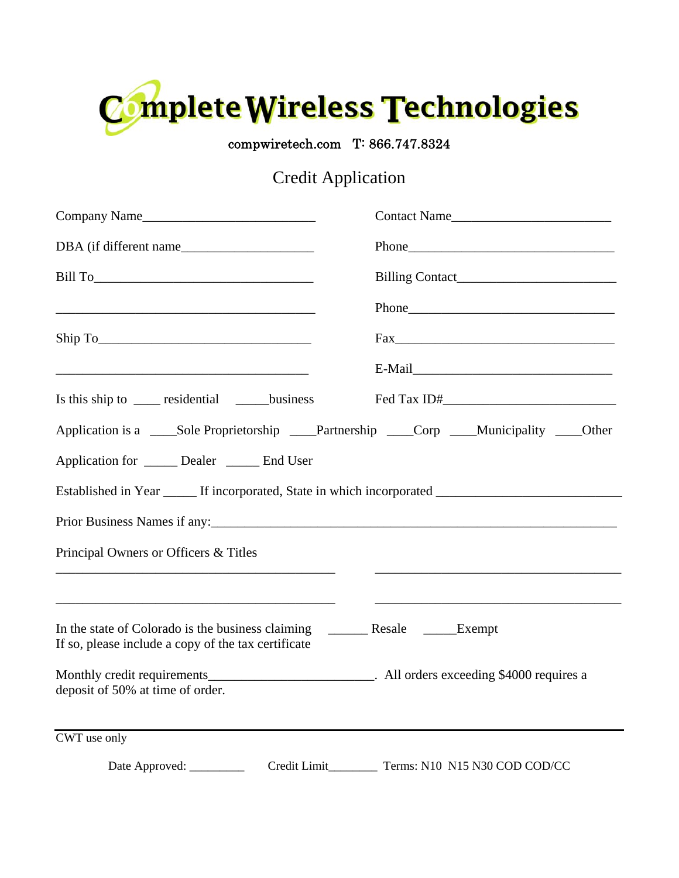

compwiretech.com T: 866.747.8324

## Credit Application

| Company Name                                                                                                                                                                                                                  | Contact Name                                                                                        |
|-------------------------------------------------------------------------------------------------------------------------------------------------------------------------------------------------------------------------------|-----------------------------------------------------------------------------------------------------|
|                                                                                                                                                                                                                               | Phone Phone                                                                                         |
|                                                                                                                                                                                                                               |                                                                                                     |
|                                                                                                                                                                                                                               |                                                                                                     |
| Ship To                                                                                                                                                                                                                       |                                                                                                     |
|                                                                                                                                                                                                                               |                                                                                                     |
| Is this ship to _____ residential _______business                                                                                                                                                                             |                                                                                                     |
| Application is a ______Sole Proprietorship _____Partnership _____Corp _____Municipality _____Other                                                                                                                            |                                                                                                     |
| Application for ______ Dealer ______ End User                                                                                                                                                                                 |                                                                                                     |
|                                                                                                                                                                                                                               | Established in Year ______ If incorporated, State in which incorporated ___________________________ |
| Prior Business Names if any: 1990 and 200 and 200 and 200 and 200 and 200 and 200 and 200 and 200 and 200 and 200 and 200 and 200 and 200 and 200 and 200 and 200 and 200 and 200 and 200 and 200 and 200 and 200 and 200 and |                                                                                                     |
| Principal Owners or Officers & Titles                                                                                                                                                                                         |                                                                                                     |
| If so, please include a copy of the tax certificate                                                                                                                                                                           |                                                                                                     |
| Monthly credit requirements_______________________________. All orders exceeding \$4000 requires a<br>deposit of 50% at time of order.                                                                                        |                                                                                                     |
| CWT use only                                                                                                                                                                                                                  |                                                                                                     |
|                                                                                                                                                                                                                               | Date Approved: ______________ Credit Limit____________ Terms: N10 N15 N30 COD COD/CC                |